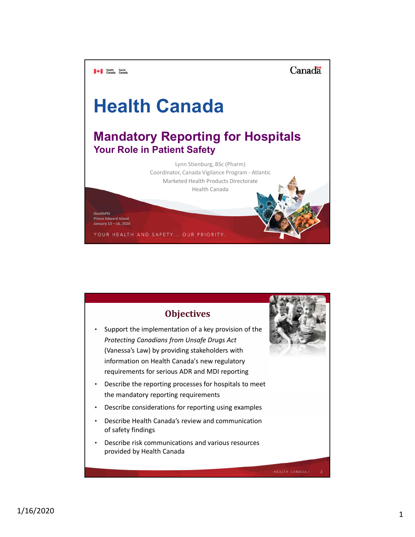Canadä

# **Health Canada**

**Mandatory Reporting for Hospitals Your Role in Patient Safety**

> Lynn Stienburg, BSc (Pharm) Coordinator, Canada Vigilance Program - Atlantic Marketed Health Products Directorate Health Canada

**HealthPEI Prince Edward Island January 13 – 16, 2020**

**TAN Health** Santé<br>Canada Canada

YOUR HEALTH AND SAFETY... OUR PRIORITY.

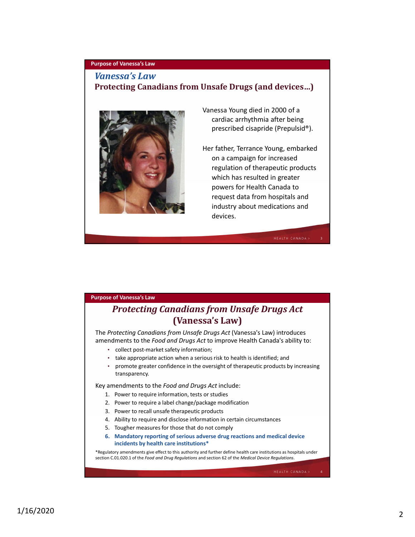## **Purpose of Vanessa's Law**

## *Vanessa's Law*

## **Protecting Canadians from Unsafe Drugs (and devices…)**



Vanessa Young died in 2000 of a cardiac arrhythmia after being prescribed cisapride (Prepulsid®).

Her father, Terrance Young, embarked on a campaign for increased regulation of therapeutic products which has resulted in greater powers for Health Canada to request data from hospitals and industry about medications and devices.

3

#### **Purpose of Vanessa's Law**

# *Protecting Canadians from Unsafe Drugs Act*  **(Vanessa's Law)**

The *Protecting Canadians from Unsafe Drugs Act* (Vanessa's Law) introduces amendments to the *Food and Drugs Act* to improve Health Canada's ability to:

- collect post-market safety information;
- take appropriate action when a serious risk to health is identified; and
- promote greater confidence in the oversight of therapeutic products by increasing transparency.

Key amendments to the *Food and Drugs Act* include:

- 1. Power to require information, tests or studies
- 2. Power to require a label change/package modification
- 3. Power to recall unsafe therapeutic products
- 4. Ability to require and disclose information in certain circumstances
- 5. Tougher measures for those that do not comply
- **6. Mandatory reporting of serious adverse drug reactions and medical device incidents by health care institutions\***

\*Regulatory amendments give effect to this authority and further define health care institutions as hospitals under section C.01.020.1 of the *Food and Drug Regulations* and section 62 of the *Medical Device Regulations*.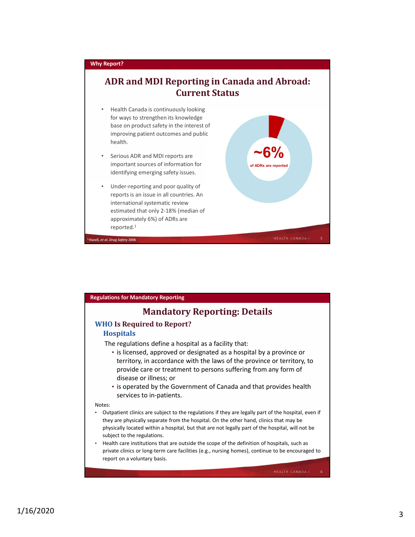

| <b>Regulations for Mandatory Reporting</b>                                                                                                                                                                                                                                                                                                                                                                                                                                                                                                                                    |
|-------------------------------------------------------------------------------------------------------------------------------------------------------------------------------------------------------------------------------------------------------------------------------------------------------------------------------------------------------------------------------------------------------------------------------------------------------------------------------------------------------------------------------------------------------------------------------|
| <b>Mandatory Reporting: Details</b>                                                                                                                                                                                                                                                                                                                                                                                                                                                                                                                                           |
| <b>WHO Is Required to Report?</b><br><b>Hospitals</b>                                                                                                                                                                                                                                                                                                                                                                                                                                                                                                                         |
| The regulations define a hospital as a facility that:<br>• is licensed, approved or designated as a hospital by a province or<br>territory, in accordance with the laws of the province or territory, to<br>provide care or treatment to persons suffering from any form of<br>disease or illness; or<br>• is operated by the Government of Canada and that provides health<br>services to in-patients.                                                                                                                                                                       |
| Notes:<br>Outpatient clinics are subject to the regulations if they are legally part of the hospital, even if<br>they are physically separate from the hospital. On the other hand, clinics that may be<br>physically located within a hospital, but that are not legally part of the hospital, will not be<br>subject to the regulations.<br>Health care institutions that are outside the scope of the definition of hospitals, such as<br>private clinics or long-term care facilities (e.g., nursing homes), continue to be encouraged to<br>report on a voluntary basis. |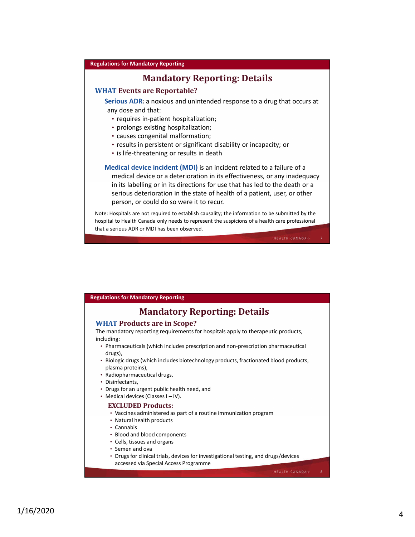#### **Regulations for Mandatory Reporting**

## **Mandatory Reporting: Details**

#### **WHAT Events are Reportable?**

**Serious ADR:** a noxious and unintended response to a drug that occurs at any dose and that:

- requires in-patient hospitalization;
- prolongs existing hospitalization;
- causes congenital malformation;
- results in persistent or significant disability or incapacity; or
- is life-threatening or results in death

**Medical device incident (MDI)** is an incident related to a failure of a medical device or a deterioration in its effectiveness, or any inadequacy in its labelling or in its directions for use that has led to the death or a serious deterioration in the state of health of a patient, user, or other person, or could do so were it to recur.

Note: Hospitals are not required to establish causality; the information to be submitted by the hospital to Health Canada only needs to represent the suspicions of a health care professional that a serious ADR or MDI has been observed.

7

#### **Regulations for Mandatory Reporting**

## **Mandatory Reporting: Details**

#### **WHAT Products are in Scope?**

The mandatory reporting requirements for hospitals apply to therapeutic products, including:

- Pharmaceuticals (which includes prescription and non-prescription pharmaceutical drugs),
- Biologic drugs (which includes biotechnology products, fractionated blood products, plasma proteins),
- Radiopharmaceutical drugs,
- Disinfectants,
- Drugs for an urgent public health need, and
- Medical devices (Classes I IV).

#### **EXCLUDED Products:**

- Vaccines administered as part of a routine immunization program
- Natural health products
- Cannabis
- Blood and blood components
- Cells, tissues and organs
- Semen and ova
- Drugs for clinical trials, devices for investigational testing, and drugs/devices accessed via Special Access Programme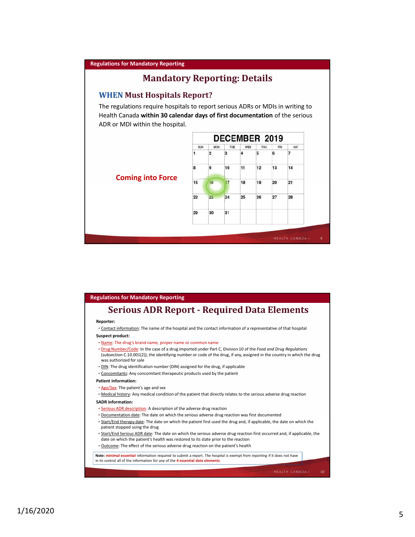#### **Regulations for Mandatory Reporting**

## **Mandatory Reporting: Details**

#### **WHEN Must Hospitals Report?**

The regulations require hospitals to report serious ADRs or MDIs in writing to Health Canada **within 30 calendar days of first documentation** of the serious ADR or MDI within the hospital.



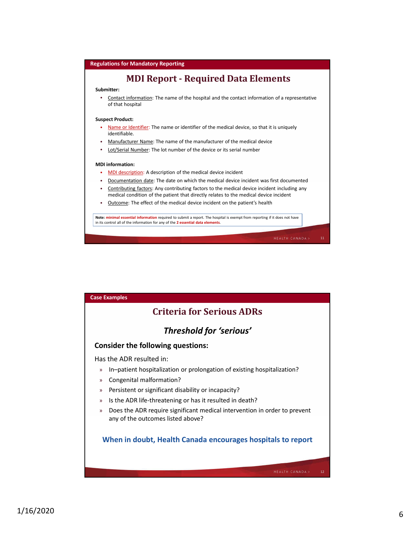

| <b>Case Examples</b>                                                                                                            |
|---------------------------------------------------------------------------------------------------------------------------------|
| <b>Criteria for Serious ADRs</b>                                                                                                |
| Threshold for 'serious'                                                                                                         |
| <b>Consider the following questions:</b>                                                                                        |
| Has the ADR resulted in:                                                                                                        |
| In-patient hospitalization or prolongation of existing hospitalization?<br>$\mathcal{Y}$                                        |
| Congenital malformation?<br>$\mathcal{Y}$                                                                                       |
| Persistent or significant disability or incapacity?<br>$\mathcal{Y}$                                                            |
| Is the ADR life-threatening or has it resulted in death?<br>$\mathcal{Y}$                                                       |
| Does the ADR require significant medical intervention in order to prevent<br>$\mathcal{Y}$<br>any of the outcomes listed above? |
| When in doubt, Health Canada encourages hospitals to report                                                                     |
| <b>HEALTH CANADA&gt;</b><br>12                                                                                                  |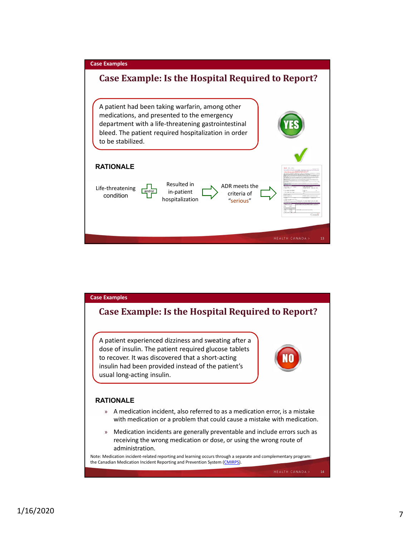

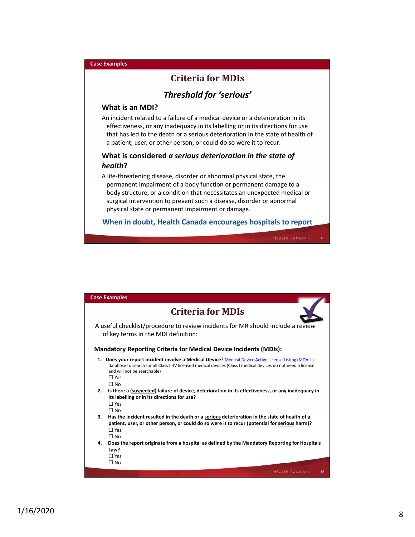# **Criteria for MDIs**

## *Threshold for 'serious'*

#### **What is an MDI?**

**Case Examples**

An incident related to a failure of a medical device or a deterioration in its effectiveness, or any inadequacy in its labelling or in its directions for use that has led to the death or a serious deterioration in the state of health of a patient, user, or other person, or could do so were it to recur.

## **What is considered** *a serious deterioration in the state of health***?**

A life-threatening disease, disorder or abnormal physical state, the permanent impairment of a body function or permanent damage to a body structure, or a condition that necessitates an unexpected medical or surgical intervention to prevent such a disease, disorder or abnormal physical state or permanent impairment or damage.

**When in doubt, Health Canada encourages hospitals to report**

| <b>Case Examples</b>                                                                                                                                                                                                                                                             |
|----------------------------------------------------------------------------------------------------------------------------------------------------------------------------------------------------------------------------------------------------------------------------------|
| <b>Criteria for MDIs</b>                                                                                                                                                                                                                                                         |
| A useful checklist/procedure to review incidents for MR should include a review<br>of key terms in the MDI definition:                                                                                                                                                           |
| <b>Mandatory Reporting Criteria for Medical Device Incidents (MDIs):</b>                                                                                                                                                                                                         |
| 1. Does your report incident involve a Medical Device? Medical Device Active License Listing (MDALL)<br>database to search for all Class II-IV licensed medical devices (Class I medical devices do not need a license<br>and will not be searchable)<br>$\Box$ Yes<br>$\Box$ No |
| 2. Is there a (suspected) failure of device, deterioration in its effectiveness, or any inadequacy in                                                                                                                                                                            |
| its labelling or in its directions for use?                                                                                                                                                                                                                                      |
| $\Box$ Yes                                                                                                                                                                                                                                                                       |
| $\Box$ No                                                                                                                                                                                                                                                                        |
| 3.<br>Has the incident resulted in the death or a serious deterioration in the state of health of a                                                                                                                                                                              |
| patient, user, or other person, or could do so were it to recur (potential for serious harm)?                                                                                                                                                                                    |
| $\Box$ Yes<br>$\Box$ No                                                                                                                                                                                                                                                          |
| 4.<br>Does the report originate from a hospital as defined by the Mandatory Reporting for Hospitals                                                                                                                                                                              |
| Law?                                                                                                                                                                                                                                                                             |
| $\Box$ Yes                                                                                                                                                                                                                                                                       |
| $\Box$ No                                                                                                                                                                                                                                                                        |
|                                                                                                                                                                                                                                                                                  |
| <b>HEALTH CANADA&gt;</b><br>16                                                                                                                                                                                                                                                   |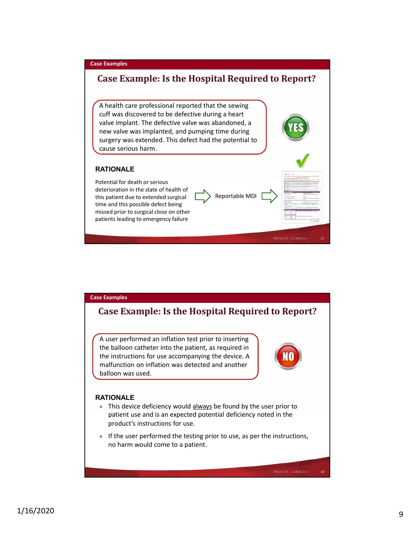

### **Case Examples**

## **Case Example: Is the Hospital Required to Report?**

A user performed an inflation test prior to inserting the balloon catheter into the patient, as required in the instructions for use accompanying the device. A malfunction on inflation was detected and another balloon was used.



#### **RATIONALE**

- » This device deficiency would always be found by the user prior to patient use and is an expected potential deficiency noted in the product's instructions for use.
- » If the user performed the testing prior to use, as per the instructions, no harm would come to a patient.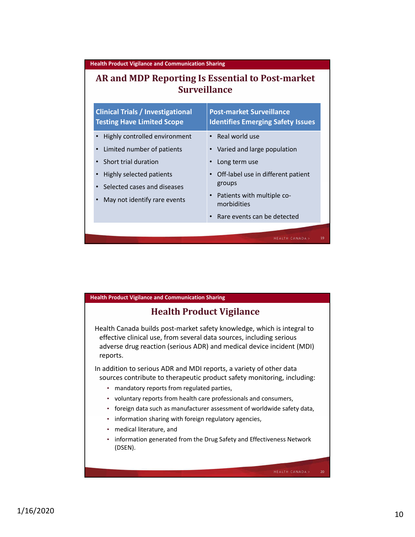**Health Product Vigilance and Communication Sharing**

## **AR and MDP Reporting Is Essential to Post-market Surveillance**

| <b>Clinical Trials / Investigational</b><br><b>Testing Have Limited Scope</b> | <b>Post-market Surveillance</b><br><b>Identifies Emerging Safety Issues</b> |
|-------------------------------------------------------------------------------|-----------------------------------------------------------------------------|
| Highly controlled environment                                                 | Real world use                                                              |
| Limited number of patients                                                    | Varied and large population                                                 |
| Short trial duration                                                          | Long term use                                                               |
| Highly selected patients                                                      | Off-label use in different patient                                          |
| Selected cases and diseases                                                   | groups                                                                      |
| May not identify rare events                                                  | Patients with multiple co-<br>morbidities                                   |
|                                                                               | Rare events can be detected                                                 |
|                                                                               | 19<br><b>HEALTH CANADA</b>                                                  |

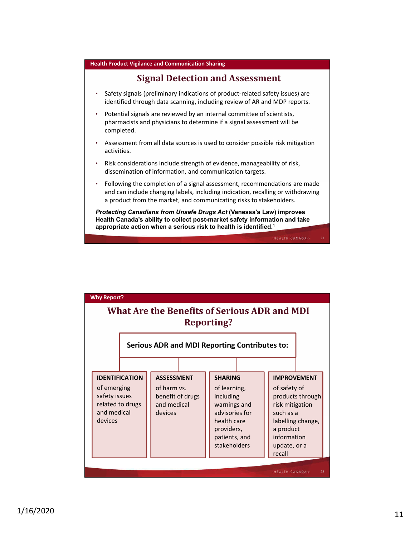

## **Signal Detection and Assessment**

- Safety signals (preliminary indications of product-related safety issues) are identified through data scanning, including review of AR and MDP reports.
- Potential signals are reviewed by an internal committee of scientists, pharmacists and physicians to determine if a signal assessment will be completed.
- Assessment from all data sources is used to consider possible risk mitigation activities.
- Risk considerations include strength of evidence, manageability of risk, dissemination of information, and communication targets.
- Following the completion of a signal assessment, recommendations are made and can include changing labels, including indication, recalling or withdrawing a product from the market, and communicating risks to stakeholders.

*Protecting Canadians from Unsafe Drugs Act* **(Vanessa's Law) improves Health Canada's ability to collect post-market safety information and take appropriate action when a serious risk to health is identified.1**

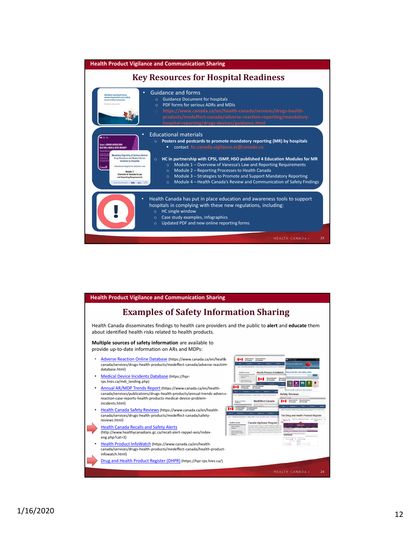| <b>Health Product Vigilance and Communication Sharing</b>                                                                                                                                                                                                                                                                                                                                                                                                                                                                                                                                                                                                                         |  |  |  |
|-----------------------------------------------------------------------------------------------------------------------------------------------------------------------------------------------------------------------------------------------------------------------------------------------------------------------------------------------------------------------------------------------------------------------------------------------------------------------------------------------------------------------------------------------------------------------------------------------------------------------------------------------------------------------------------|--|--|--|
| <b>Key Resources for Hospital Readiness</b>                                                                                                                                                                                                                                                                                                                                                                                                                                                                                                                                                                                                                                       |  |  |  |
| <b>Guidance and forms</b><br>٠<br>Mandatory reporting of serious<br>advice drug reactions and medical<br><b>Guidance Document for hospitals</b><br>$\circ$<br>device incidents by hospitals<br>PDF forms for serious ADRs and MDIs<br><b>AABAKA EMAHAMI</b><br>$\Omega$<br>https://www.canada.ca/en/health-canada/services/drugs-health-<br>$\circ$<br>products/medeffect-canada/adverse-reaction-reporting/mandatory-<br>hospital-reporting/drugs-devices/guidance.html                                                                                                                                                                                                          |  |  |  |
| <b>Educational materials</b><br><b>MEDICA</b><br>Posters and postcards to promote mandatory reporting (MR) by hospitals<br>$\circ$<br><b>Suspect a SERIOUS ADVERSE DRUG</b><br>contact hc.canada.vigilance.sc@canada.ca<br><b>REACTION or MEDICAL DEVICE INCIDENT</b><br>Mandalory Reporting of Serious Adverse                                                                                                                                                                                                                                                                                                                                                                   |  |  |  |
| <b>Drug Reactions and Medical Device</b><br>HC in partnership with CPSI, ISMP, HSO published 4 Education Modules for MR<br><b>THE WIRE WITHOUT</b><br>$\circ$<br>amala diplominini<br>sina 14 di 2020 Chi<br>Incidents by Hospitals<br>Module 1 - Overview of Vanessa's Law and Reporting Requirements<br>$\circ$<br>Educational Support for Vanessa's Lew<br>Canada<br>Module 2 - Reporting Processes to Health Canada<br>$\Omega$<br>Module 1:<br>Overview of Venessa's Law<br>Module 3 - Strategies to Promote and Support Mandatory Reporting<br>$\circ$<br>and Reporting Requirements.<br>Module 4 - Health Canada's Review and Communication of Safety Findings<br>$\Omega$ |  |  |  |
| Health Canada has put in place education and awareness tools to support<br>hospitals in complying with these new regulations, including:<br>$\circ$ HC single window<br>Case study examples, infographics<br>$\circ$<br>Updated PDF and new online reporting forms<br>$\circ$                                                                                                                                                                                                                                                                                                                                                                                                     |  |  |  |
| <b>HEALTH CANADA&gt;</b><br>23                                                                                                                                                                                                                                                                                                                                                                                                                                                                                                                                                                                                                                                    |  |  |  |

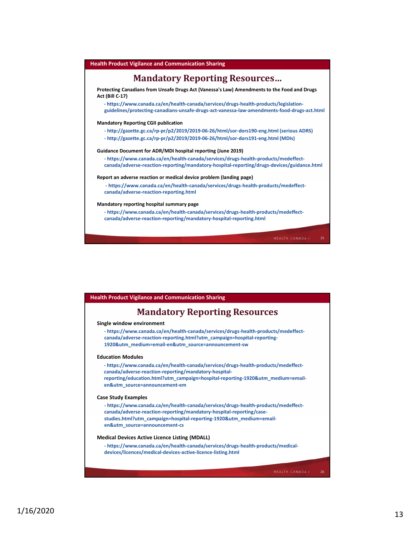

| <b>Health Product Vigilance and Communication Sharing</b>                                                                                                                                                                                                          |  |
|--------------------------------------------------------------------------------------------------------------------------------------------------------------------------------------------------------------------------------------------------------------------|--|
| <b>Mandatory Reporting Resources</b>                                                                                                                                                                                                                               |  |
| Single window environment                                                                                                                                                                                                                                          |  |
| - https://www.canada.ca/en/health-canada/services/drugs-health-products/medeffect-<br>canada/adverse-reaction-reporting.html?utm_campaign=hospital-reporting-<br>1920&utm_medium=email-en&utm_source=announcement-sw                                               |  |
| <b>Education Modules</b>                                                                                                                                                                                                                                           |  |
| - https://www.canada.ca/en/health-canada/services/drugs-health-products/medeffect-<br>canada/adverse-reaction-reporting/mandatory-hospital-                                                                                                                        |  |
| reporting/education.html?utm_campaign=hospital-reporting-1920&utm_medium=email-<br>en&utm_source=announcement-em                                                                                                                                                   |  |
| <b>Case Study Examples</b>                                                                                                                                                                                                                                         |  |
| - https://www.canada.ca/en/health-canada/services/drugs-health-products/medeffect-<br>canada/adverse-reaction-reporting/mandatory-hospital-reporting/case-<br>studies.html?utm campaign=hospital-reporting-1920&utm medium=email-<br>en&utm_source=announcement-cs |  |
|                                                                                                                                                                                                                                                                    |  |
| <b>Medical Devices Active Licence Listing (MDALL)</b>                                                                                                                                                                                                              |  |
| - https://www.canada.ca/en/health-canada/services/drugs-health-products/medical-<br>devices/licences/medical-devices-active-licence-listing.html                                                                                                                   |  |
|                                                                                                                                                                                                                                                                    |  |
| <b>HEALTH CANADA&gt;</b><br>26                                                                                                                                                                                                                                     |  |